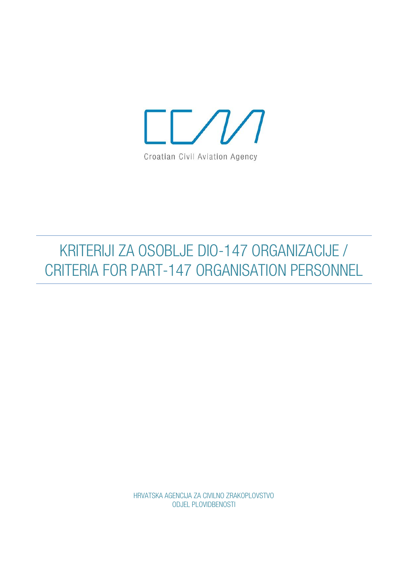

# KRITERIJI ZA OSOBLJE DIO-147 ORGANIZACIJE / CRITERIA FOR PART-147 ORGANISATION PERSONNEL

HRVATSKA AGENCIJA ZA CIVILNO ZRAKOPLOVSTVO ODJEL PLOVIDBENOSTI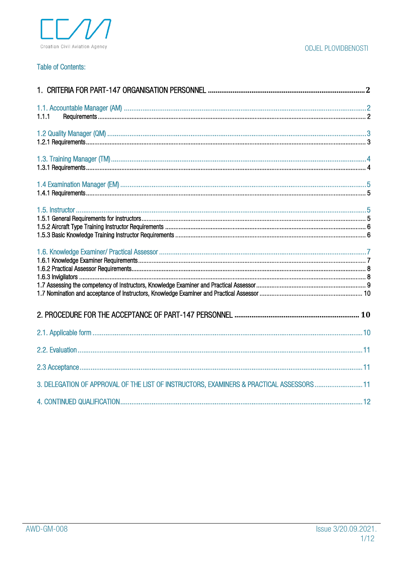

#### ODJEL PLOVIDBENOSTI

#### **Table of Contents:**

| 1.1.1                                                                                   |  |
|-----------------------------------------------------------------------------------------|--|
|                                                                                         |  |
|                                                                                         |  |
|                                                                                         |  |
|                                                                                         |  |
|                                                                                         |  |
|                                                                                         |  |
|                                                                                         |  |
|                                                                                         |  |
|                                                                                         |  |
| 3. DELEGATION OF APPROVAL OF THE LIST OF INSTRUCTORS, EXAMINERS & PRACTICAL ASSESSORS11 |  |
|                                                                                         |  |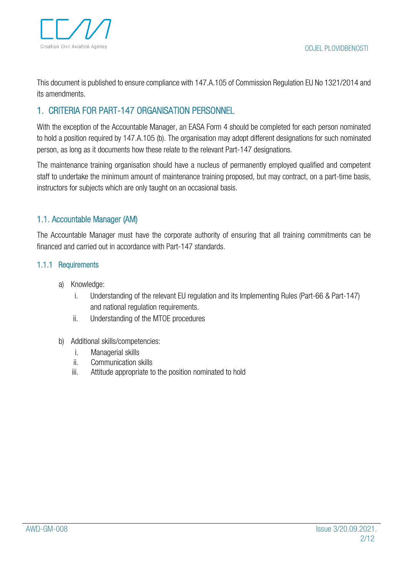This document is published to ensure compliance with 147.A.105 of Commission Regulation EU No 1321/2014 and its amendments.

# <span id="page-2-0"></span>1. CRITERIA FOR PART-147 ORGANISATION PERSONNEL

With the exception of the Accountable Manager, an EASA Form 4 should be completed for each person nominated to hold a position required by 147.A.105 (b). The organisation may adopt different designations for such nominated person, as long as it documents how these relate to the relevant Part-147 designations.

The maintenance training organisation should have a nucleus of permanently employed qualified and competent staff to undertake the minimum amount of maintenance training proposed, but may contract, on a part-time basis, instructors for subjects which are only taught on an occasional basis.

## <span id="page-2-1"></span>1.1. Accountable Manager (AM)

The Accountable Manager must have the corporate authority of ensuring that all training commitments can be financed and carried out in accordance with Part-147 standards.

#### <span id="page-2-2"></span>1.1.1 Requirements

- a) Knowledge:
	- i. Understanding of the relevant EU regulation and its Implementing Rules (Part-66 & Part-147) and national regulation requirements.
	- ii. Understanding of the MTOE procedures

#### b) Additional skills/competencies:

- i. Managerial skills
- ii. Communication skills
- iii. Attitude appropriate to the position nominated to hold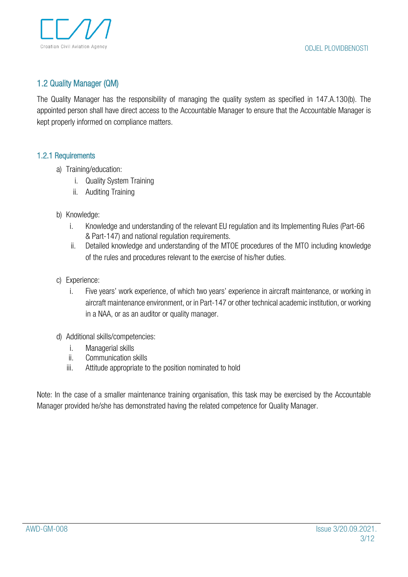

## <span id="page-3-0"></span>1.2 Quality Manager (QM)

The Quality Manager has the responsibility of managing the quality system as specified in 147.A.130(b). The appointed person shall have direct access to the Accountable Manager to ensure that the Accountable Manager is kept properly informed on compliance matters.

#### <span id="page-3-1"></span>1.2.1 Requirements

- a) Training/education:
	- i. Quality System Training
	- ii. Auditing Training
- b) Knowledge:
	- i. Knowledge and understanding of the relevant EU regulation and its Implementing Rules (Part-66 & Part-147) and national regulation requirements.
	- ii. Detailed knowledge and understanding of the MTOE procedures of the MTO including knowledge of the rules and procedures relevant to the exercise of his/her duties.
- c) Experience:
	- i. Five years' work experience, of which two years' experience in aircraft maintenance, or working in aircraft maintenance environment, or in Part-147 or other technical academic institution, or working in a NAA, or as an auditor or quality manager.
- d) Additional skills/competencies:
	- i. Managerial skills
	- ii. Communication skills
	- iii. Attitude appropriate to the position nominated to hold

Note: In the case of a smaller maintenance training organisation, this task may be exercised by the Accountable Manager provided he/she has demonstrated having the related competence for Quality Manager.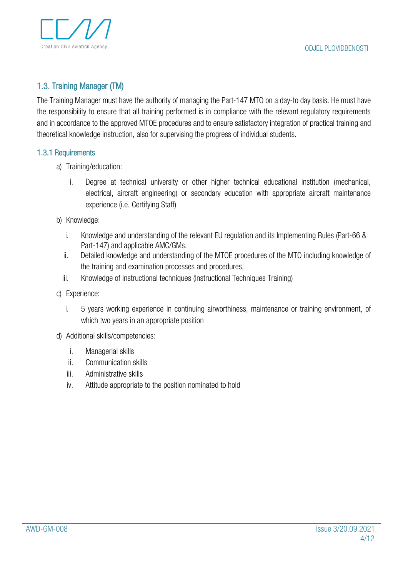

# <span id="page-4-0"></span>1.3. Training Manager (TM)

The Training Manager must have the authority of managing the Part-147 MTO on a day-to day basis. He must have the responsibility to ensure that all training performed is in compliance with the relevant regulatory requirements and in accordance to the approved MTOE procedures and to ensure satisfactory integration of practical training and theoretical knowledge instruction, also for supervising the progress of individual students.

#### <span id="page-4-1"></span>1.3.1 Requirements

- a) Training/education:
	- i. Degree at technical university or other higher technical educational institution (mechanical, electrical, aircraft engineering) or secondary education with appropriate aircraft maintenance experience (i.e. Certifying Staff)
- b) Knowledge:
	- i. Knowledge and understanding of the relevant EU regulation and its Implementing Rules (Part-66 & Part-147) and applicable AMC/GMs.
	- ii. Detailed knowledge and understanding of the MTOE procedures of the MTO including knowledge of the training and examination processes and procedures,
	- iii. Knowledge of instructional techniques (Instructional Techniques Training)
- c) Experience:
	- i. 5 years working experience in continuing airworthiness, maintenance or training environment, of which two years in an appropriate position
- d) Additional skills/competencies:
	- i. Managerial skills
	- ii. Communication skills
	- iii. Administrative skills
	- iv. Attitude appropriate to the position nominated to hold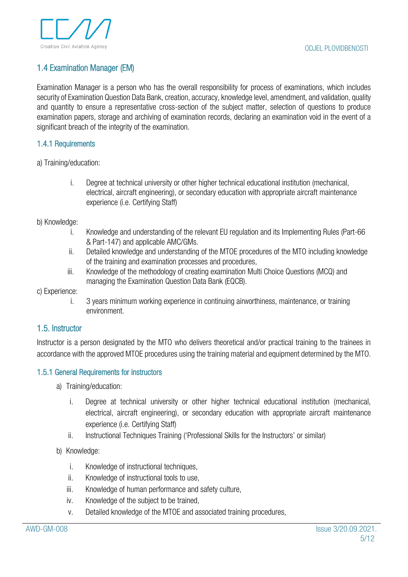## <span id="page-5-0"></span>1.4 Examination Manager (EM)

Examination Manager is a person who has the overall responsibility for process of examinations, which includes security of Examination Question Data Bank, creation, accuracy, knowledge level, amendment, and validation, quality and quantity to ensure a representative cross-section of the subject matter, selection of questions to produce examination papers, storage and archiving of examination records, declaring an examination void in the event of a significant breach of the integrity of the examination.

#### <span id="page-5-1"></span>1.4.1 Requirements

a) Training/education:

i. Degree at technical university or other higher technical educational institution (mechanical, electrical, aircraft engineering), or secondary education with appropriate aircraft maintenance experience (i.e. Certifying Staff)

#### b) Knowledge:

- i. Knowledge and understanding of the relevant EU regulation and its Implementing Rules (Part-66 & Part-147) and applicable AMC/GMs.
- ii. Detailed knowledge and understanding of the MTOE procedures of the MTO including knowledge of the training and examination processes and procedures,
- iii. Knowledge of the methodology of creating examination Multi Choice Questions (MCQ) and managing the Examination Question Data Bank (EQCB).

#### c) Experience:

i. 3 years minimum working experience in continuing airworthiness, maintenance, or training environment.

#### <span id="page-5-2"></span>1.5. Instructor

Instructor is a person designated by the MTO who delivers theoretical and/or practical training to the trainees in accordance with the approved MTOE procedures using the training material and equipment determined by the MTO.

#### <span id="page-5-3"></span>1.5.1 General Requirements for instructors

- a) Training/education:
	- i. Degree at technical university or other higher technical educational institution (mechanical, electrical, aircraft engineering), or secondary education with appropriate aircraft maintenance experience (i.e. Certifying Staff)
	- ii. Instructional Techniques Training ('Professional Skills for the Instructors' or similar)

#### b) Knowledge:

- i. Knowledge of instructional techniques,
- ii. Knowledge of instructional tools to use,
- iii. Knowledge of human performance and safety culture,
- iv. Knowledge of the subject to be trained,
- v. Detailed knowledge of the MTOE and associated training procedures,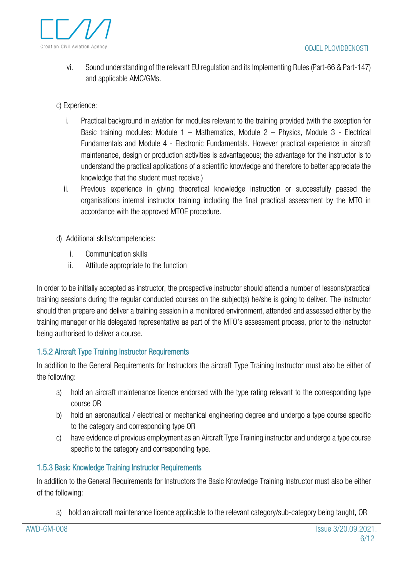

- vi. Sound understanding of the relevant EU regulation and its Implementing Rules (Part-66 & Part-147) and applicable AMC/GMs.
- c) Experience:
	- i. Practical background in aviation for modules relevant to the training provided (with the exception for Basic training modules: Module 1 – Mathematics, Module 2 – Physics, Module 3 - Electrical Fundamentals and Module 4 - Electronic Fundamentals. However practical experience in aircraft maintenance, design or production activities is advantageous; the advantage for the instructor is to understand the practical applications of a scientific knowledge and therefore to better appreciate the knowledge that the student must receive.)
	- ii. Previous experience in giving theoretical knowledge instruction or successfully passed the organisations internal instructor training including the final practical assessment by the MTO in accordance with the approved MTOE procedure.
- d) Additional skills/competencies:
	- i. Communication skills
	- ii. Attitude appropriate to the function

In order to be initially accepted as instructor, the prospective instructor should attend a number of lessons/practical training sessions during the regular conducted courses on the subject(s) he/she is going to deliver. The instructor should then prepare and deliver a training session in a monitored environment, attended and assessed either by the training manager or his delegated representative as part of the MTO's assessment process, prior to the instructor being authorised to deliver a course.

#### <span id="page-6-0"></span>1.5.2 Aircraft Type Training Instructor Requirements

In addition to the General Requirements for Instructors the aircraft Type Training Instructor must also be either of the following:

- a) hold an aircraft maintenance licence endorsed with the type rating relevant to the corresponding type course OR
- b) hold an aeronautical / electrical or mechanical engineering degree and undergo a type course specific to the category and corresponding type OR
- c) have evidence of previous employment as an Aircraft Type Training instructor and undergo a type course specific to the category and corresponding type.

#### <span id="page-6-1"></span>1.5.3 Basic Knowledge Training Instructor Requirements

In addition to the General Requirements for Instructors the Basic Knowledge Training Instructor must also be either of the following:

a) hold an aircraft maintenance licence applicable to the relevant category/sub-category being taught, OR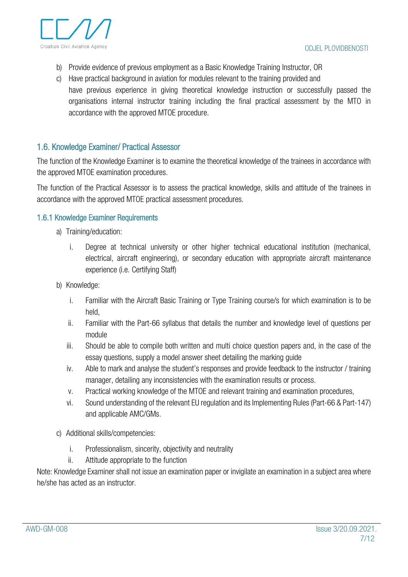

- b) Provide evidence of previous employment as a Basic Knowledge Training Instructor, OR
- c) Have practical background in aviation for modules relevant to the training provided and have previous experience in giving theoretical knowledge instruction or successfully passed the organisations internal instructor training including the final practical assessment by the MTO in accordance with the approved MTOE procedure.

## <span id="page-7-0"></span>1.6. Knowledge Examiner/ Practical Assessor

The function of the Knowledge Examiner is to examine the theoretical knowledge of the trainees in accordance with the approved MTOE examination procedures.

The function of the Practical Assessor is to assess the practical knowledge, skills and attitude of the trainees in accordance with the approved MTOE practical assessment procedures.

#### <span id="page-7-1"></span>1.6.1 Knowledge Examiner Requirements

- a) Training/education:
	- i. Degree at technical university or other higher technical educational institution (mechanical, electrical, aircraft engineering), or secondary education with appropriate aircraft maintenance experience (i.e. Certifying Staff)
- b) Knowledge:
	- i. Familiar with the Aircraft Basic Training or Type Training course/s for which examination is to be held,
	- ii. Familiar with the Part-66 syllabus that details the number and knowledge level of questions per module
	- iii. Should be able to compile both written and multi choice question papers and, in the case of the essay questions, supply a model answer sheet detailing the marking guide
	- iv. Able to mark and analyse the student's responses and provide feedback to the instructor / training manager, detailing any inconsistencies with the examination results or process.
	- v. Practical working knowledge of the MTOE and relevant training and examination procedures,
	- vi. Sound understanding of the relevant EU regulation and its Implementing Rules (Part-66 & Part-147) and applicable AMC/GMs.
- c) Additional skills/competencies:
	- i. Professionalism, sincerity, objectivity and neutrality
	- ii. Attitude appropriate to the function

Note: Knowledge Examiner shall not issue an examination paper or invigilate an examination in a subject area where he/she has acted as an instructor.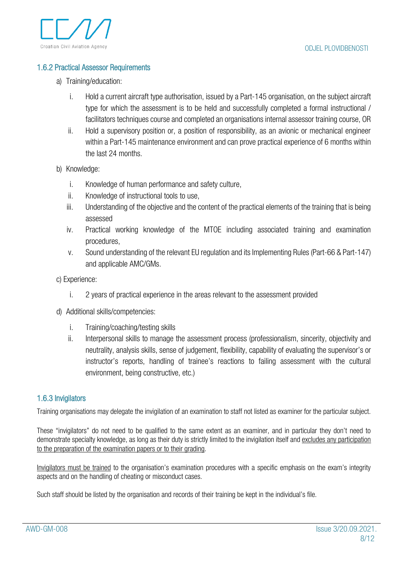#### <span id="page-8-0"></span>1.6.2 Practical Assessor Requirements

- a) Training/education:
	- i. Hold a current aircraft type authorisation, issued by a Part-145 organisation, on the subject aircraft type for which the assessment is to be held and successfully completed a formal instructional / facilitators techniques course and completed an organisations internal assessor training course, OR
	- ii. Hold a supervisory position or, a position of responsibility, as an avionic or mechanical engineer within a Part-145 maintenance environment and can prove practical experience of 6 months within the last 24 months.
- b) Knowledge:
	- i. Knowledge of human performance and safety culture,
	- ii. Knowledge of instructional tools to use,
	- iii. Understanding of the objective and the content of the practical elements of the training that is being assessed
	- iv. Practical working knowledge of the MTOE including associated training and examination procedures,
	- v. Sound understanding of the relevant EU regulation and its Implementing Rules (Part-66 & Part-147) and applicable AMC/GMs.
- c) Experience:
	- i. 2 years of practical experience in the areas relevant to the assessment provided
- d) Additional skills/competencies:
	- i. Training/coaching/testing skills
	- ii. Interpersonal skills to manage the assessment process (professionalism, sincerity, objectivity and neutrality, analysis skills, sense of judgement, flexibility, capability of evaluating the supervisor's or instructor's reports, handling of trainee's reactions to failing assessment with the cultural environment, being constructive, etc.)

#### <span id="page-8-1"></span>1.6.3 Invigilators

Training organisations may delegate the invigilation of an examination to staff not listed as examiner for the particular subject.

These "invigilators" do not need to be qualified to the same extent as an examiner, and in particular they don't need to demonstrate specialty knowledge, as long as their duty is strictly limited to the invigilation itself and excludes any participation to the preparation of the examination papers or to their grading.

Invigilators must be trained to the organisation's examination procedures with a specific emphasis on the exam's integrity aspects and on the handling of cheating or misconduct cases.

Such staff should be listed by the organisation and records of their training be kept in the individual's file.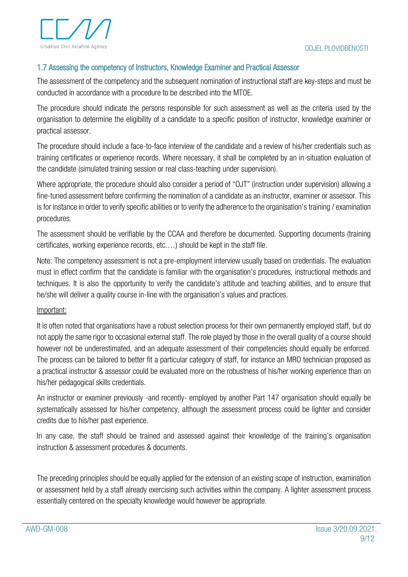

#### <span id="page-9-0"></span>1.7 Assessing the competency of Instructors, Knowledge Examiner and Practical Assessor

The assessment of the competency and the subsequent nomination of instructional staff are key-steps and must be conducted in accordance with a procedure to be described into the MTOE.

The procedure should indicate the persons responsible for such assessment as well as the criteria used by the organisation to determine the eligibility of a candidate to a specific position of instructor, knowledge examiner or practical assessor.

The procedure should include a face-to-face interview of the candidate and a review of his/her credentials such as training certificates or experience records. Where necessary, it shall be completed by an in-situation evaluation of the candidate (simulated training session or real class-teaching under supervision).

Where appropriate, the procedure should also consider a period of "OJT" (instruction under supervision) allowing a fine-tuned assessment before confirming the nomination of a candidate as an instructor, examiner or assessor. This is for instance in order to verify specific abilities or to verify the adherence to the organisation's training / examination procedures.

The assessment should be verifiable by the CCAA and therefore be documented. Supporting documents (training certificates, working experience records, etc.…) should be kept in the staff file.

Note: The competency assessment is not a pre-employment interview usually based on credentials. The evaluation must in effect confirm that the candidate is familiar with the organisation's procedures, instructional methods and techniques. It is also the opportunity to verify the candidate's attitude and teaching abilities, and to ensure that he/she will deliver a quality course in-line with the organisation's values and practices.

#### Important:

It is often noted that organisations have a robust selection process for their own permanently employed staff, but do not apply the same rigor to occasional external staff. The role played by those in the overall quality of a course should however not be underestimated, and an adequate assessment of their competencies should equally be enforced. The process can be tailored to better fit a particular category of staff, for instance an MRO technician proposed as a practical instructor & assessor could be evaluated more on the robustness of his/her working experience than on his/her pedagogical skills credentials.

An instructor or examiner previously -and recently- employed by another Part 147 organisation should equally be systematically assessed for his/her competency, although the assessment process could be lighter and consider credits due to his/her past experience.

In any case, the staff should be trained and assessed against their knowledge of the training's organisation instruction & assessment procedures & documents.

The preceding principles should be equally applied for the extension of an existing scope of instruction, examination or assessment held by a staff already exercising such activities within the company. A lighter assessment process essentially centered on the specialty knowledge would however be appropriate.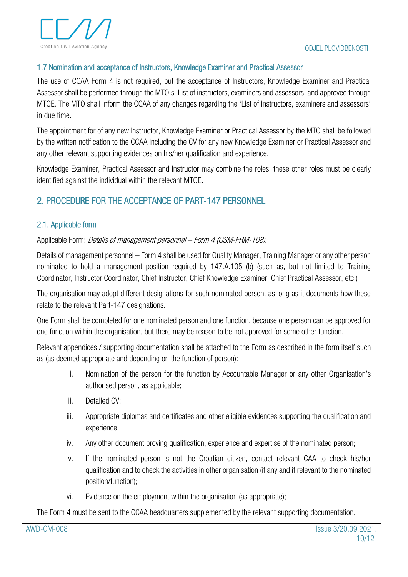

#### <span id="page-10-0"></span>1.7 Nomination and acceptance of Instructors, Knowledge Examiner and Practical Assessor

The use of CCAA Form 4 is not required, but the acceptance of Instructors, Knowledge Examiner and Practical Assessor shall be performed through the MTO's 'List of instructors, examiners and assessors' and approved through MTOE. The MTO shall inform the CCAA of any changes regarding the 'List of instructors, examiners and assessors' in due time.

The appointment for of any new Instructor, Knowledge Examiner or Practical Assessor by the MTO shall be followed by the written notification to the CCAA including the CV for any new Knowledge Examiner or Practical Assessor and any other relevant supporting evidences on his/her qualification and experience.

Knowledge Examiner, Practical Assessor and Instructor may combine the roles; these other roles must be clearly identified against the individual within the relevant MTOE.

# <span id="page-10-1"></span>2. PROCEDURE FOR THE ACCEPTANCE OF PART-147 PERSONNEL

#### <span id="page-10-2"></span>2.1. Applicable form

Applicable Form: Details of management personnel – Form 4 (QSM-FRM-108).

Details of management personnel – Form 4 shall be used for Quality Manager, Training Manager or any other person nominated to hold a management position required by 147.A.105 (b) (such as, but not limited to Training Coordinator, Instructor Coordinator, Chief Instructor, Chief Knowledge Examiner, Chief Practical Assessor, etc.)

The organisation may adopt different designations for such nominated person, as long as it documents how these relate to the relevant Part-147 designations.

One Form shall be completed for one nominated person and one function, because one person can be approved for one function within the organisation, but there may be reason to be not approved for some other function.

Relevant appendices / supporting documentation shall be attached to the Form as described in the form itself such as (as deemed appropriate and depending on the function of person):

- i. Nomination of the person for the function by Accountable Manager or any other Organisation's authorised person, as applicable;
- ii. Detailed CV;
- iii. Appropriate diplomas and certificates and other eligible evidences supporting the qualification and experience;
- iv. Any other document proving qualification, experience and expertise of the nominated person;
- v. If the nominated person is not the Croatian citizen, contact relevant CAA to check his/her qualification and to check the activities in other organisation (if any and if relevant to the nominated position/function);
- vi. Evidence on the employment within the organisation (as appropriate);

The Form 4 must be sent to the CCAA headquarters supplemented by the relevant supporting documentation.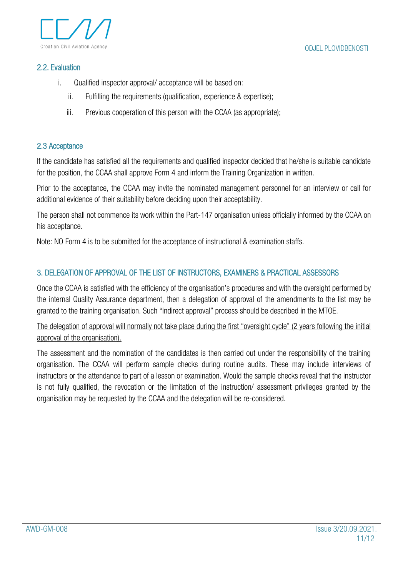

#### <span id="page-11-0"></span>2.2. Evaluation

- i. Qualified inspector approval/ acceptance will be based on:
	- ii. Fulfilling the requirements (qualification, experience & expertise);
	- iii. Previous cooperation of this person with the CCAA (as appropriate);

#### <span id="page-11-1"></span>2.3 Acceptance

If the candidate has satisfied all the requirements and qualified inspector decided that he/she is suitable candidate for the position, the CCAA shall approve Form 4 and inform the Training Organization in written.

Prior to the acceptance, the CCAA may invite the nominated management personnel for an interview or call for additional evidence of their suitability before deciding upon their acceptability.

The person shall not commence its work within the Part-147 organisation unless officially informed by the CCAA on his acceptance.

Note: NO Form 4 is to be submitted for the acceptance of instructional & examination staffs.

## <span id="page-11-2"></span>3. DELEGATION OF APPROVAL OF THE LIST OF INSTRUCTORS, EXAMINERS & PRACTICAL ASSESSORS

Once the CCAA is satisfied with the efficiency of the organisation's procedures and with the oversight performed by the internal Quality Assurance department, then a delegation of approval of the amendments to the list may be granted to the training organisation. Such "indirect approval" process should be described in the MTOE.

The delegation of approval will normally not take place during the first "oversight cycle" (2 years following the initial approval of the organisation).

The assessment and the nomination of the candidates is then carried out under the responsibility of the training organisation. The CCAA will perform sample checks during routine audits. These may include interviews of instructors or the attendance to part of a lesson or examination. Would the sample checks reveal that the instructor is not fully qualified, the revocation or the limitation of the instruction/ assessment privileges granted by the organisation may be requested by the CCAA and the delegation will be re-considered.